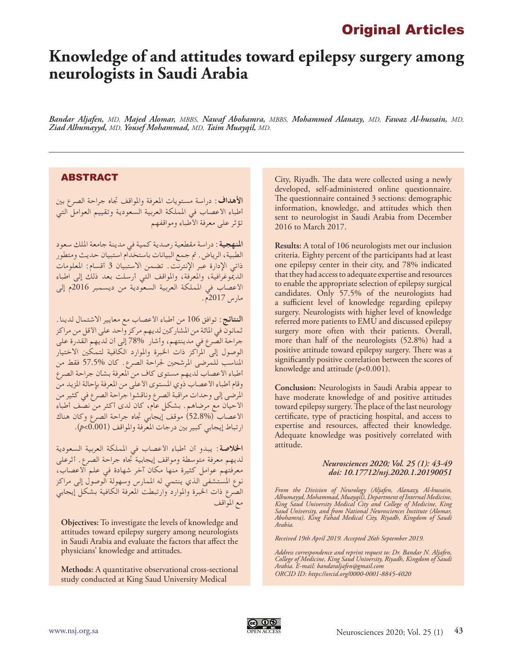## Original Articles

# **Knowledge of and attitudes toward epilepsy surgery among neurologists in Saudi Arabia**

*Bandar Aljafen, MD, Majed Alomar, MBBS, Nawaf Abohamra, MBBS, Mohammed Alanazy, MD, Fawaz Al-hussain, MD, Ziad Alhumayyd, MD, Yousef Mohammad, MD, Taim Muayqil, MD.*

## ABSTRACT

**األهداف:** دراسة مستويات املعرفة واملواقف جتاه جراحة الصرع بني أطباء األعصاب في اململكة العربية السعودية وتقييم العوامل التي تؤثر على معرفة األطباء ومواقفهم

**املنهجية:** دراسة مقطعية رصدية كمية في مدينة جامعة امللك سعود الطبية، الرياض. مت جمع البيانات باستخدام استبيان حديث ومتطور ذاتي الإدارة عبر الإنترنت. تضمن الاستبيان 3 أقسام: المعلومات الدميوغرافية، واملعرفة، واملواقف التي أرسلت بعد ذلك إلى اطباء األعصاب في اململكة العربية السعودية من ديسمبر 2016م إلى مارس 2017م.

**النتائج:** توافق 106 من أطباء األعصاب مع معايير االشتمال لدينا. ثمانون في املائة من املشاركني لديهم مركز واحد على األقل من مراكز جراحة الصرع في مدينتهم، وأشار 78% إلى أن لديهم القدرة على الوصول إلى املراكز ذات اخلبرة واملوارد الكافية لتمكني االختيار املناسب للمرضى املرشحني جلراحة الصرع. كان 57.5% فقط من أطباء األعصاب لديهم مستوى كاف من املعرفة بشأن جراحة الصرع وقام أطباء الأعصاب ذوي المستوى الأعلى من المعرفة بإحالة المزيد من املرضى إلى وحدات مراقبة الصرع وناقشوا جراحة الصرع في كثير من األحيان مع مرضاهم. بشكل عام، كان لدى أكثر من نصف أطباء األعصاب )52.8%( موقف إيجابي جتاه جراحة الصرع وكان هناك ارتباط إيجابي كبير بني درجات املعرفة واملواقف )0.001>*p*).

**الخلاصة**: يبدو أن أطباء الأعصاب في المملكة العربية السعودية لديهم معرفة متوسطة ومواقف إيجابية جتاه جراحة الصرع. أثرعلى معرفتهم عوامل كثيرة منها مكان آخر شهادة في علم األعصاب، نوع المستشفى الذي ينتمي له الممارس وسهولة الوصول إلى مراكز الصرع ذات اخلبرة واملوارد وارتبطت املعرفة الكافية بشكل إيجابي مع المواقف

**Objectives:** To investigate the levels of knowledge and attitudes toward epilepsy surgery among neurologists in Saudi Arabia and evaluate the factors that affect the physicians' knowledge and attitudes.

**Methods:** A quantitative observational cross-sectional study conducted at King Saud University Medical

City, Riyadh. The data were collected using a newly developed, self-administered online questionnaire. The questionnaire contained 3 sections: demographic information, knowledge, and attitudes which then sent to neurologist in Saudi Arabia from December 2016 to March 2017.

**Results:** A total of 106 neurologists met our inclusion criteria. Eighty percent of the participants had at least one epilepsy center in their city, and 78% indicated that they had access to adequate expertise and resources to enable the appropriate selection of epilepsy surgical candidates. Only 57.5% of the neurologists had a sufficient level of knowledge regarding epilepsy surgery. Neurologists with higher level of knowledge referred more patients to EMU and discussed epilepsy surgery more often with their patients. Overall, more than half of the neurologists (52.8%) had a positive attitude toward epilepsy surgery. There was a significantly positive correlation between the scores of knowledge and attitude (*p*<0.001).

**Conclusion:** Neurologists in Saudi Arabia appear to have moderate knowledge of and positive attitudes toward epilepsy surgery. The place of the last neurology certificate, type of practicing hospital, and access to expertise and resources, affected their knowledge. Adequate knowledge was positively correlated with attitude.

#### *Neurosciences 2020; Vol. 25 (1): 43-49 doi: 10.17712/nsj.2020.1.20190051*

*From the Division of Neurology (Aljafen, Alanazy, Al-hussain, Alhumayyd, Mohammad, Muayqil), Department of Internal Medicine, King Saud University Medical City and College of Medicine, King Saud University, and from National Neurosciences Institute (Alomar, Abohamra), King Fahad Medical City, Riyadh, Kingdom of Saudi Arabia.*

*Received 19th April 2019. Accepted 26th September 2019.*

*Address correspondence and reprint request to: Dr. Bandar N. Aljafen, College of Medicine, King Saud University, Riyadh, Kingdom of Saudi Arabia. E-mail: bandaraljafen@gmail.com ORCID ID: https://orcid.org/0000-0001-8845-4020*

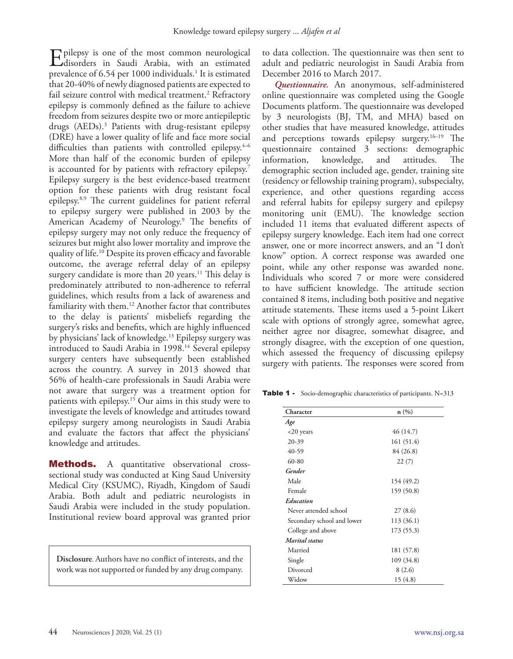Epilepsy is one of the most common neurological disorders in Saudi Arabia, with an estimated prevalence of 6.54 per 1000 individuals.<sup>1</sup> It is estimated that 20-40% of newly diagnosed patients are expected to fail seizure control with medical treatment.2 Refractory epilepsy is commonly defined as the failure to achieve freedom from seizures despite two or more antiepileptic drugs (AEDs). 3 Patients with drug-resistant epilepsy (DRE) have a lower quality of life and face more social difficulties than patients with controlled epilepsy.<sup>4-6</sup> More than half of the economic burden of epilepsy is accounted for by patients with refractory epilepsy.<sup>7</sup> Epilepsy surgery is the best evidence-based treatment option for these patients with drug resistant focal epilepsy.8,9 The current guidelines for patient referral to epilepsy surgery were published in 2003 by the American Academy of Neurology.9 The benefits of epilepsy surgery may not only reduce the frequency of seizures but might also lower mortality and improve the quality of life.10 Despite its proven efficacy and favorable outcome, the average referral delay of an epilepsy surgery candidate is more than 20 years.<sup>11</sup> This delay is predominately attributed to non-adherence to referral guidelines, which results from a lack of awareness and familiarity with them.<sup>12</sup> Another factor that contributes to the delay is patients' misbeliefs regarding the surgery's risks and benefits, which are highly influenced by physicians' lack of knowledge.13 Epilepsy surgery was introduced to Saudi Arabia in 1998.<sup>14</sup> Several epilepsy surgery centers have subsequently been established across the country. A survey in 2013 showed that 56% of health-care professionals in Saudi Arabia were not aware that surgery was a treatment option for patients with epilepsy.15 Our aims in this study were to investigate the levels of knowledge and attitudes toward epilepsy surgery among neurologists in Saudi Arabia and evaluate the factors that affect the physicians' knowledge and attitudes.

**Methods.** A quantitative observational crosssectional study was conducted at King Saud University Medical City (KSUMC), Riyadh, Kingdom of Saudi Arabia. Both adult and pediatric neurologists in Saudi Arabia were included in the study population. Institutional review board approval was granted prior

**Disclosure**. Authors have no conflict of interests, and the work was not supported or funded by any drug company.

to data collection. The questionnaire was then sent to adult and pediatric neurologist in Saudi Arabia from December 2016 to March 2017.

*Questionnaire.* An anonymous, self-administered online questionnaire was completed using the Google Documents platform. The questionnaire was developed by 3 neurologists (BJ, TM, and MHA) based on other studies that have measured knowledge, attitudes and perceptions towards epilepsy surgery.16–19 The questionnaire contained 3 sections: demographic information, knowledge, and attitudes. The demographic section included age, gender, training site (residency or fellowship training program), subspecialty, experience, and other questions regarding access and referral habits for epilepsy surgery and epilepsy monitoring unit (EMU). The knowledge section included 11 items that evaluated different aspects of epilepsy surgery knowledge. Each item had one correct answer, one or more incorrect answers, and an "I don't know" option. A correct response was awarded one point, while any other response was awarded none. Individuals who scored 7 or more were considered to have sufficient knowledge. The attitude section contained 8 items, including both positive and negative attitude statements. These items used a 5-point Likert scale with options of strongly agree, somewhat agree, neither agree nor disagree, somewhat disagree, and strongly disagree, with the exception of one question, which assessed the frequency of discussing epilepsy surgery with patients. The responses were scored from

Table 1 - Socio-demographic characteristics of participants. N=313

| Character                  | n(%)       |
|----------------------------|------------|
| Age                        |            |
| $<$ 20 years               | 46 (14.7)  |
| 20-39                      | 161 (51.4) |
| 40-59                      | 84 (26.8)  |
| 60-80                      | 22(7)      |
| Gender                     |            |
| Male                       | 154 (49.2) |
| Female                     | 159 (50.8) |
| Education                  |            |
| Never attended school      | 27 (8.6)   |
| Secondary school and lower | 113 (36.1) |
| College and above          | 173 (55.3) |
| Marital status             |            |
| Married                    | 181 (57.8) |
| Single                     | 109 (34.8) |
| Divorced                   | 8 (2.6)    |
| Widow                      | 15 (4.8)   |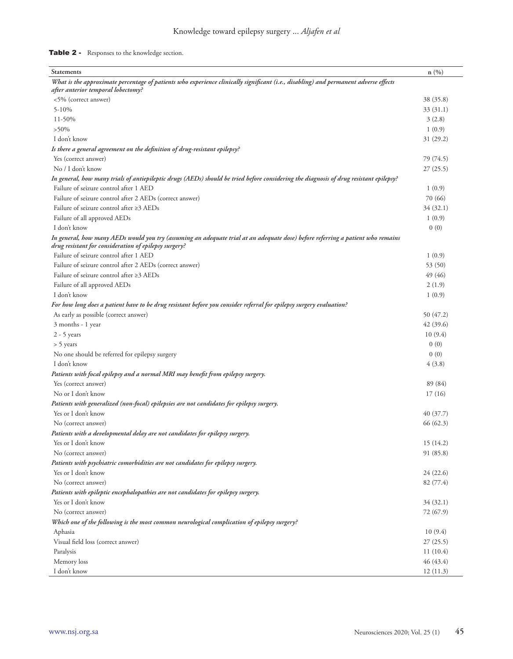## Table 2 - Responses to the knowledge section.

| <b>Statements</b>                                                                                                                                                                        | n(%)      |
|------------------------------------------------------------------------------------------------------------------------------------------------------------------------------------------|-----------|
| What is the approximate percentage of patients who experience clinically significant (i.e., disabling) and permanent adverse effects                                                     |           |
| after anterior temporal lobectomy?                                                                                                                                                       |           |
| <5% (correct answer)                                                                                                                                                                     | 38 (35.8) |
| $5 - 10%$                                                                                                                                                                                | 33 (31.1) |
| 11-50%                                                                                                                                                                                   | 3(2.8)    |
| $>50\%$                                                                                                                                                                                  | 1(0.9)    |
| I don't know                                                                                                                                                                             | 31(29.2)  |
| Is there a general agreement on the definition of drug-resistant epilepsy?                                                                                                               |           |
| Yes (correct answer)                                                                                                                                                                     | 79 (74.5) |
| No / I don't know                                                                                                                                                                        | 27(25.5)  |
| In general, how many trials of antiepileptic drugs (AEDs) should be tried before considering the diagnosis of drug resistant epilepsy?                                                   |           |
| Failure of seizure control after 1 AED                                                                                                                                                   | 1(0.9)    |
| Failure of seizure control after 2 AEDs (correct answer)                                                                                                                                 | 70 (66)   |
| Failure of seizure control after $\geq$ 3 AEDs                                                                                                                                           | 34(32.1)  |
| Failure of all approved AEDs                                                                                                                                                             | 1(0.9)    |
| I don't know                                                                                                                                                                             | 0(0)      |
| In general, how many AEDs would you try (assuming an adequate trial at an adequate dose) before referring a patient who remains<br>drug resistant for consideration of epilepsy surgery? |           |
| Failure of seizure control after 1 AED                                                                                                                                                   | 1(0.9)    |
| Failure of seizure control after 2 AEDs (correct answer)                                                                                                                                 | 53 (50)   |
| Failure of seizure control after ≥3 AEDs                                                                                                                                                 | 49 (46)   |
| Failure of all approved AEDs                                                                                                                                                             | 2(1.9)    |
| I don't know                                                                                                                                                                             | 1(0.9)    |
| For how long does a patient have to be drug resistant before you consider referral for epilepsy surgery evaluation?                                                                      |           |
| As early as possible (correct answer)                                                                                                                                                    | 50 (47.2) |
| 3 months - 1 year                                                                                                                                                                        | 42(39.6)  |
| $2 - 5$ years                                                                                                                                                                            | 10(9.4)   |
| > 5 years                                                                                                                                                                                | 0(0)      |
| No one should be referred for epilepsy surgery                                                                                                                                           | 0(0)      |
| I don't know                                                                                                                                                                             | 4(3.8)    |
| Patients with focal epilepsy and a normal MRI may benefit from epilepsy surgery.                                                                                                         |           |
| Yes (correct answer)                                                                                                                                                                     | 89 (84)   |
| No or I don't know                                                                                                                                                                       | 17(16)    |
|                                                                                                                                                                                          |           |
| Patients with generalized (non-focal) epilepsies are not candidates for epilepsy surgery.                                                                                                |           |
| Yes or I don't know                                                                                                                                                                      | 40(37.7)  |
| No (correct answer)                                                                                                                                                                      | 66 (62.3) |
| Patients with a developmental delay are not candidates for epilepsy surgery.                                                                                                             |           |
| Yes or I don't know                                                                                                                                                                      | 15(14.2)  |
| No (correct answer)                                                                                                                                                                      | 91 (85.8) |
| Patients with psychiatric comorbidities are not candidates for epilepsy surgery.                                                                                                         |           |
| Yes or I don't know                                                                                                                                                                      | 24(22.6)  |
| No (correct answer)                                                                                                                                                                      | 82 (77.4) |
| Patients with epileptic encephalopathies are not candidates for epilepsy surgery.                                                                                                        |           |
| Yes or I don't know                                                                                                                                                                      | 34 (32.1) |
| No (correct answer)                                                                                                                                                                      | 72 (67.9) |
| Which one of the following is the most common neurological complication of epilepsy surgery?                                                                                             |           |
| Aphasia                                                                                                                                                                                  | 10(9.4)   |
| Visual field loss (correct answer)                                                                                                                                                       | 27(25.5)  |
| Paralysis                                                                                                                                                                                | 11(10.4)  |
| Memory loss                                                                                                                                                                              | 46(43.4)  |
| I don't know                                                                                                                                                                             | 12(11.3)  |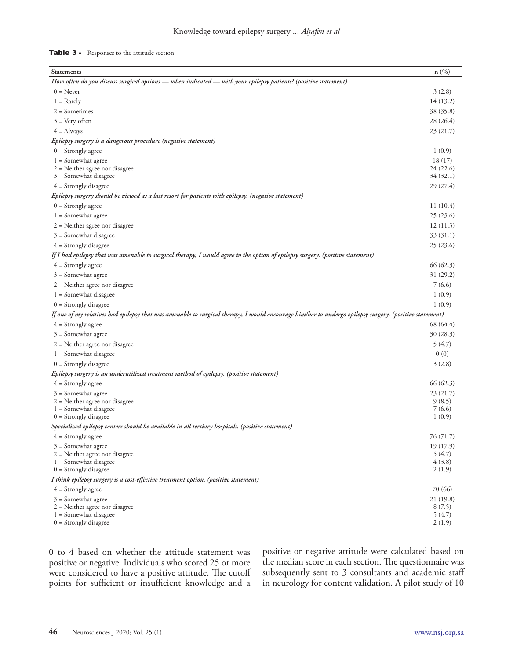#### Table 3 - Responses to the attitude section.

| Statements                                                                                                                                             | n(%)               |  |
|--------------------------------------------------------------------------------------------------------------------------------------------------------|--------------------|--|
| How often do you discuss surgical options — when indicated — with your epilepsy patients? (positive statement)                                         |                    |  |
| $0 =$ Never                                                                                                                                            | 3(2.8)             |  |
| $1 =$ Rarely                                                                                                                                           | 14 (13.2)          |  |
| $2 = Sometimes$                                                                                                                                        | 38 (35.8)          |  |
| $3$ = Very often                                                                                                                                       | 28 (26.4)          |  |
| $4 =$ Always                                                                                                                                           | 23(21.7)           |  |
| Epilepsy surgery is a dangerous procedure (negative statement)                                                                                         |                    |  |
| $0 =$ Strongly agree                                                                                                                                   | 1(0.9)             |  |
| $1 =$ Somewhat agree                                                                                                                                   | 18(17)             |  |
| $2$ = Neither agree nor disagree                                                                                                                       | 24 (22.6)          |  |
| $3 =$ Somewhat disagree                                                                                                                                | 34 (32.1)          |  |
| $4 =$ Strongly disagree                                                                                                                                | 29(27.4)           |  |
| (epilepsy surgery should be viewed as a last resort for patients with epilepsy. (negative statement                                                    |                    |  |
| $0 =$ Strongly agree                                                                                                                                   | 11(10.4)           |  |
| $1 =$ Somewhat agree                                                                                                                                   | 25 (23.6)          |  |
| $2$ = Neither agree nor disagree                                                                                                                       | 12(11.3)           |  |
| $3 =$ Somewhat disagree                                                                                                                                | 33 (31.1)          |  |
| $4 =$ Strongly disagree                                                                                                                                | 25(23.6)           |  |
| If I had epilepsy that was amenable to surgical therapy, I would agree to the option of epilepsy surgery. (positive statement)                         |                    |  |
| $4 =$ Strongly agree                                                                                                                                   | 66 (62.3)          |  |
| $3 =$ Somewhat agree                                                                                                                                   | 31 (29.2)          |  |
| $2$ = Neither agree nor disagree                                                                                                                       | 7 (6.6)            |  |
| $1 =$ Somewhat disagree                                                                                                                                | 1(0.9)             |  |
| $0 =$ Strongly disagree                                                                                                                                | 1(0.9)             |  |
| If one of my relatives had epilepsy that was amenable to surgical therapy, I would encourage him/her to undergo epilepsy surgery. (positive statement) |                    |  |
| $4 =$ Strongly agree                                                                                                                                   | 68 (64.4)          |  |
| $3 =$ Somewhat agree                                                                                                                                   | 30 (28.3)          |  |
| $2$ = Neither agree nor disagree                                                                                                                       | 5(4.7)             |  |
| $1 =$ Somewhat disagree                                                                                                                                | 0(0)               |  |
| $0 =$ Strongly disagree                                                                                                                                | 3(2.8)             |  |
| Epilepsy surgery is an underutilized treatment method of epilepsy. (positive statement)                                                                |                    |  |
| $4 =$ Strongly agree                                                                                                                                   | 66 (62.3)          |  |
| $3 =$ Somewhat agree                                                                                                                                   | 23(21.7)           |  |
| $2$ = Neither agree nor disagree                                                                                                                       | 9(8.5)             |  |
| $1 =$ Somewhat disagree                                                                                                                                | 7 (6.6)            |  |
| $0 =$ Strongly disagree                                                                                                                                | 1(0.9)             |  |
| Specialized epilepsy centers should be available in all tertiary hospitals. (positive statement)                                                       |                    |  |
| $4 =$ Strongly agree                                                                                                                                   | 76 (71.7)          |  |
| $3 =$ Somewhat agree<br>$2$ = Neither agree nor disagree                                                                                               | 19(17.9)<br>5(4.7) |  |
| $1 =$ Somewhat disagree                                                                                                                                | 4(3.8)             |  |
| $0 =$ Strongly disagree                                                                                                                                | 2(1.9)             |  |
| I think epilepsy surgery is a cost-effective treatment option. (positive statement)                                                                    |                    |  |
| $4 =$ Strongly agree                                                                                                                                   | 70 (66)            |  |
| $3 =$ Somewhat agree                                                                                                                                   | 21 (19.8)          |  |
| $2$ = Neither agree nor disagree                                                                                                                       | 8(7.5)             |  |
| $1 =$ Somewhat disagree<br>$0 =$ Strongly disagree                                                                                                     | 5(4.7)<br>2(1.9)   |  |
|                                                                                                                                                        |                    |  |

0 to 4 based on whether the attitude statement was positive or negative. Individuals who scored 25 or more were considered to have a positive attitude. The cutoff points for sufficient or insufficient knowledge and a positive or negative attitude were calculated based on the median score in each section. The questionnaire was subsequently sent to 3 consultants and academic staff in neurology for content validation. A pilot study of 10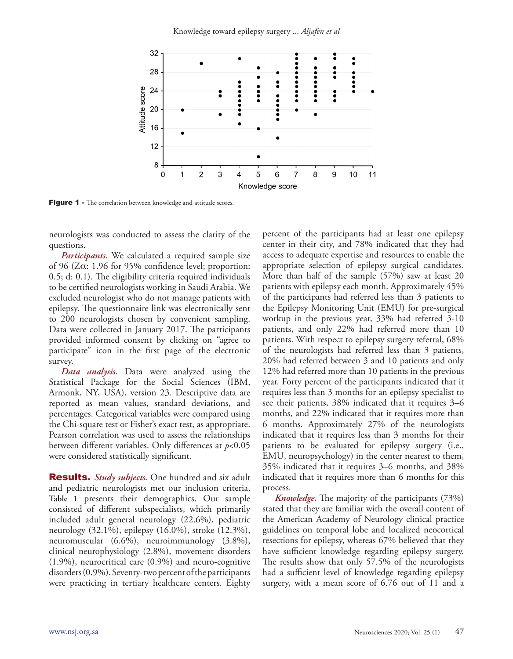

Figure 1 - The correlation between knowledge and attitude scores.

neurologists was conducted to assess the clarity of the questions.

*Participants.* We calculated a required sample size of 96 (Zα: 1.96 for 95% confidence level; proportion: 0.5; d: 0.1). The eligibility criteria required individuals to be certified neurologists working in Saudi Arabia. We excluded neurologist who do not manage patients with epilepsy. The questionnaire link was electronically sent to 200 neurologists chosen by convenient sampling. Data were collected in January 2017. The participants provided informed consent by clicking on "agree to participate" icon in the first page of the electronic survey.

*Data analysis.* Data were analyzed using the Statistical Package for the Social Sciences (IBM, Armonk, NY, USA), version 23. Descriptive data are reported as mean values, standard deviations, and percentages. Categorical variables were compared using the Chi-square test or Fisher's exact test, as appropriate. Pearson correlation was used to assess the relationships between different variables. Only differences at *p*<0.05 were considered statistically significant.

Results. *Study subjects.* One hundred and six adult and pediatric neurologists met our inclusion criteria, **Table 1** presents their demographics. Our sample consisted of different subspecialists, which primarily included adult general neurology (22.6%), pediatric neurology (32.1%), epilepsy (16.0%), stroke (12.3%), neuromuscular (6.6%), neuroimmunology (3.8%), clinical neurophysiology (2.8%), movement disorders (1.9%), neurocritical care (0.9%) and neuro-cognitive disorders (0.9%). Seventy-two percent of the participants were practicing in tertiary healthcare centers. Eighty

percent of the participants had at least one epilepsy center in their city, and 78% indicated that they had access to adequate expertise and resources to enable the appropriate selection of epilepsy surgical candidates. More than half of the sample (57%) saw at least 20 patients with epilepsy each month. Approximately 45% of the participants had referred less than 3 patients to the Epilepsy Monitoring Unit (EMU) for pre-surgical workup in the previous year, 33% had referred 3-10 patients, and only 22% had referred more than 10 patients. With respect to epilepsy surgery referral, 68% of the neurologists had referred less than 3 patients, 20% had referred between 3 and 10 patients and only 12% had referred more than 10 patients in the previous year. Forty percent of the participants indicated that it requires less than 3 months for an epilepsy specialist to see their patients, 38% indicated that it requires 3–6 months, and 22% indicated that it requires more than 6 months. Approximately 27% of the neurologists indicated that it requires less than 3 months for their patients to be evaluated for epilepsy surgery (i.e., EMU, neuropsychology) in the center nearest to them, 35% indicated that it requires 3–6 months, and 38% indicated that it requires more than 6 months for this process.

*Knowledge.* The majority of the participants (73%) stated that they are familiar with the overall content of the American Academy of Neurology clinical practice guidelines on temporal lobe and localized neocortical resections for epilepsy, whereas 67% believed that they have sufficient knowledge regarding epilepsy surgery. The results show that only 57.5% of the neurologists had a sufficient level of knowledge regarding epilepsy surgery, with a mean score of 6.76 out of 11 and a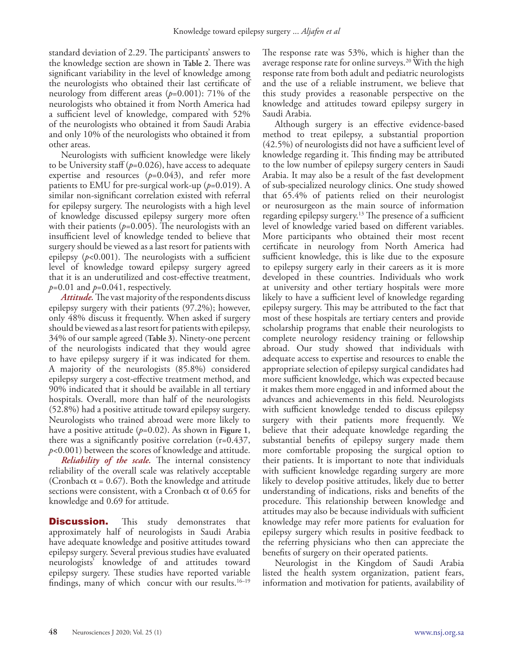standard deviation of 2.29. The participants' answers to the knowledge section are shown in **Table 2**. There was significant variability in the level of knowledge among the neurologists who obtained their last certificate of neurology from different areas (*p*=0.001): 71% of the neurologists who obtained it from North America had a sufficient level of knowledge, compared with 52% of the neurologists who obtained it from Saudi Arabia and only 10% of the neurologists who obtained it from other areas.

Neurologists with sufficient knowledge were likely to be University staff (*p*=0.026), have access to adequate expertise and resources  $(p=0.043)$ , and refer more patients to EMU for pre-surgical work-up  $(p=0.019)$ . A similar non-significant correlation existed with referral for epilepsy surgery. The neurologists with a high level of knowledge discussed epilepsy surgery more often with their patients  $(p=0.005)$ . The neurologists with an insufficient level of knowledge tended to believe that surgery should be viewed as a last resort for patients with epilepsy  $(p<0.001)$ . The neurologists with a sufficient level of knowledge toward epilepsy surgery agreed that it is an underutilized and cost-effective treatment,  $p=0.01$  and  $p=0.041$ , respectively.

*Attitude.* The vast majority of the respondents discuss epilepsy surgery with their patients (97.2%); however, only 48% discuss it frequently. When asked if surgery should be viewed as a last resort for patients with epilepsy, 34% of our sample agreed **(Table 3)**. Ninety-one percent of the neurologists indicated that they would agree to have epilepsy surgery if it was indicated for them. A majority of the neurologists (85.8%) considered epilepsy surgery a cost-effective treatment method, and 90% indicated that it should be available in all tertiary hospitals. Overall, more than half of the neurologists (52.8%) had a positive attitude toward epilepsy surgery. Neurologists who trained abroad were more likely to have a positive attitude (*p*=0.02). As shown in **Figure 1**, there was a significantly positive correlation (r=0.437, *p*<0.001) between the scores of knowledge and attitude.

*Reliability of the scale.* The internal consistency reliability of the overall scale was relatively acceptable (Cronbach  $\alpha$  = 0.67). Both the knowledge and attitude sections were consistent, with a Cronbach  $\alpha$  of 0.65 for knowledge and 0.69 for attitude.

**Discussion.** This study demonstrates that approximately half of neurologists in Saudi Arabia have adequate knowledge and positive attitudes toward epilepsy surgery. Several previous studies have evaluated neurologists' knowledge of and attitudes toward epilepsy surgery. These studies have reported variable findings, many of which concur with our results. $16-19$ 

The response rate was 53%, which is higher than the average response rate for online surveys.20 With the high response rate from both adult and pediatric neurologists and the use of a reliable instrument, we believe that this study provides a reasonable perspective on the knowledge and attitudes toward epilepsy surgery in Saudi Arabia.

Although surgery is an effective evidence-based method to treat epilepsy, a substantial proportion (42.5%) of neurologists did not have a sufficient level of knowledge regarding it. This finding may be attributed to the low number of epilepsy surgery centers in Saudi Arabia. It may also be a result of the fast development of sub-specialized neurology clinics. One study showed that 65.4% of patients relied on their neurologist or neurosurgeon as the main source of information regarding epilepsy surgery.<sup>13</sup> The presence of a sufficient level of knowledge varied based on different variables. More participants who obtained their most recent certificate in neurology from North America had sufficient knowledge, this is like due to the exposure to epilepsy surgery early in their careers as it is more developed in these countries. Individuals who work at university and other tertiary hospitals were more likely to have a sufficient level of knowledge regarding epilepsy surgery. This may be attributed to the fact that most of these hospitals are tertiary centers and provide scholarship programs that enable their neurologists to complete neurology residency training or fellowship abroad. Our study showed that individuals with adequate access to expertise and resources to enable the appropriate selection of epilepsy surgical candidates had more sufficient knowledge, which was expected because it makes them more engaged in and informed about the advances and achievements in this field. Neurologists with sufficient knowledge tended to discuss epilepsy surgery with their patients more frequently. We believe that their adequate knowledge regarding the substantial benefits of epilepsy surgery made them more comfortable proposing the surgical option to their patients. It is important to note that individuals with sufficient knowledge regarding surgery are more likely to develop positive attitudes, likely due to better understanding of indications, risks and benefits of the procedure. This relationship between knowledge and attitudes may also be because individuals with sufficient knowledge may refer more patients for evaluation for epilepsy surgery which results in positive feedback to the referring physicians who then can appreciate the benefits of surgery on their operated patients.

Neurologist in the Kingdom of Saudi Arabia listed the health system organization, patient fears, information and motivation for patients, availability of